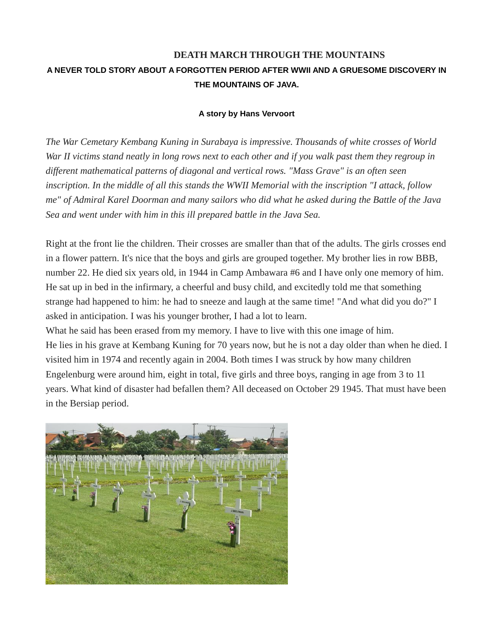# **DEATH MARCH THROUGH THE MOUNTAINS A NEVER TOLD STORY ABOUT A FORGOTTEN PERIOD AFTER WWII AND A GRUESOME DISCOVERY IN THE MOUNTAINS OF JAVA.**

# **A story by Hans Vervoort**

*The War Cemetary Kembang Kuning in Surabaya is impressive. Thousands of white crosses of World War II victims stand neatly in long rows next to each other and if you walk past them they regroup in different mathematical patterns of diagonal and vertical rows. "Mass Grave" is an often seen inscription. In the middle of all this stands the WWII Memorial with the inscription "I attack, follow me" of Admiral Karel Doorman and many sailors who did what he asked during the Battle of the Java Sea and went under with him in this ill prepared battle in the Java Sea.*

Right at the front lie the children. Their crosses are smaller than that of the adults. The girls crosses end in a flower pattern. It's nice that the boys and girls are grouped together. My brother lies in row BBB, number 22. He died six years old, in 1944 in Camp Ambawara #6 and I have only one memory of him. He sat up in bed in the infirmary, a cheerful and busy child, and excitedly told me that something strange had happened to him: he had to sneeze and laugh at the same time! "And what did you do?" I asked in anticipation. I was his younger brother, I had a lot to learn.

What he said has been erased from my memory. I have to live with this one image of him. He lies in his grave at Kembang Kuning for 70 years now, but he is not a day older than when he died. I visited him in 1974 and recently again in 2004. Both times I was struck by how many children Engelenburg were around him, eight in total, five girls and three boys, ranging in age from 3 to 11 years. What kind of disaster had befallen them? All deceased on October 29 1945. That must have been in the Bersiap period.

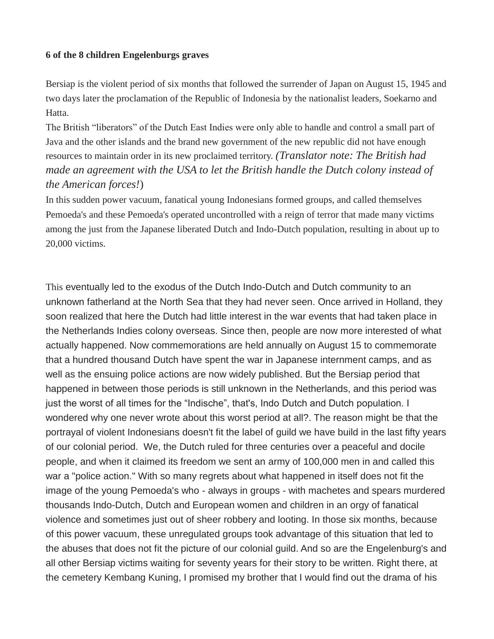# **6 of the 8 children Engelenburgs graves**

Bersiap is the violent period of six months that followed the surrender of Japan on August 15, 1945 and two days later the proclamation of the Republic of Indonesia by the nationalist leaders, Soekarno and Hatta.

The British "liberators" of the Dutch East Indies were only able to handle and control a small part of Java and the other islands and the brand new government of the new republic did not have enough resources to maintain order in its new proclaimed territory. *(Translator note: The British had made an agreement with the USA to let the British handle the Dutch colony instead of the American forces!*)

In this sudden power vacuum, fanatical young Indonesians formed groups, and called themselves Pemoeda's and these Pemoeda's operated uncontrolled with a reign of terror that made many victims among the just from the Japanese liberated Dutch and Indo-Dutch population, resulting in about up to 20,000 victims.

This eventually led to the exodus of the Dutch Indo-Dutch and Dutch community to an unknown fatherland at the North Sea that they had never seen. Once arrived in Holland, they soon realized that here the Dutch had little interest in the war events that had taken place in the Netherlands Indies colony overseas. Since then, people are now more interested of what actually happened. Now commemorations are held annually on August 15 to commemorate that a hundred thousand Dutch have spent the war in Japanese internment camps, and as well as the ensuing police actions are now widely published. But the Bersiap period that happened in between those periods is still unknown in the Netherlands, and this period was just the worst of all times for the "Indische", that's, Indo Dutch and Dutch population. I wondered why one never wrote about this worst period at all?. The reason might be that the portrayal of violent Indonesians doesn't fit the label of guild we have build in the last fifty years of our colonial period. We, the Dutch ruled for three centuries over a peaceful and docile people, and when it claimed its freedom we sent an army of 100,000 men in and called this war a "police action." With so many regrets about what happened in itself does not fit the image of the young Pemoeda's who - always in groups - with machetes and spears murdered thousands Indo-Dutch, Dutch and European women and children in an orgy of fanatical violence and sometimes just out of sheer robbery and looting. In those six months, because of this power vacuum, these unregulated groups took advantage of this situation that led to the abuses that does not fit the picture of our colonial guild. And so are the Engelenburg's and all other Bersiap victims waiting for seventy years for their story to be written. Right there, at the cemetery Kembang Kuning, I promised my brother that I would find out the drama of his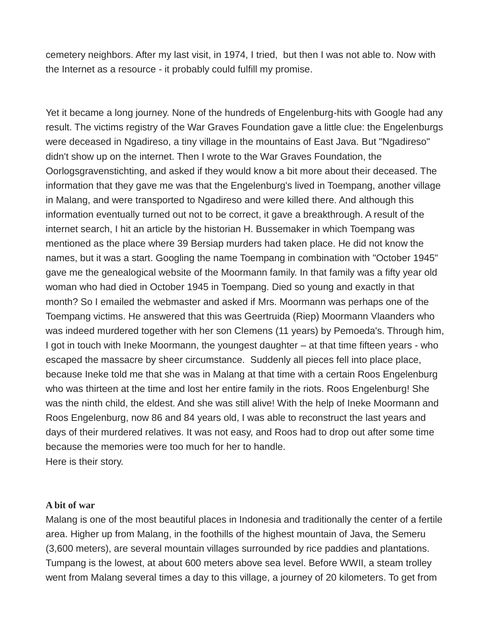cemetery neighbors. After my last visit, in 1974, I tried, but then I was not able to. Now with the Internet as a resource - it probably could fulfill my promise.

Yet it became a long journey. None of the hundreds of Engelenburg-hits with Google had any result. The victims registry of the War Graves Foundation gave a little clue: the Engelenburgs were deceased in Ngadireso, a tiny village in the mountains of East Java. But "Ngadireso" didn't show up on the internet. Then I wrote to the War Graves Foundation, the Oorlogsgravenstichting, and asked if they would know a bit more about their deceased. The information that they gave me was that the Engelenburg's lived in Toempang, another village in Malang, and were transported to Ngadireso and were killed there. And although this information eventually turned out not to be correct, it gave a breakthrough. A result of the internet search, I hit an article by the historian H. Bussemaker in which Toempang was mentioned as the place where 39 Bersiap murders had taken place. He did not know the names, but it was a start. Googling the name Toempang in combination with "October 1945" gave me the genealogical website of the Moormann family. In that family was a fifty year old woman who had died in October 1945 in Toempang. Died so young and exactly in that month? So I emailed the webmaster and asked if Mrs. Moormann was perhaps one of the Toempang victims. He answered that this was Geertruida (Riep) Moormann Vlaanders who was indeed murdered together with her son Clemens (11 years) by Pemoeda's. Through him, I got in touch with Ineke Moormann, the youngest daughter – at that time fifteen years - who escaped the massacre by sheer circumstance. Suddenly all pieces fell into place place, because Ineke told me that she was in Malang at that time with a certain Roos Engelenburg who was thirteen at the time and lost her entire family in the riots. Roos Engelenburg! She was the ninth child, the eldest. And she was still alive! With the help of Ineke Moormann and Roos Engelenburg, now 86 and 84 years old, I was able to reconstruct the last years and days of their murdered relatives. It was not easy, and Roos had to drop out after some time because the memories were too much for her to handle. Here is their story.

#### **A bit of war**

Malang is one of the most beautiful places in Indonesia and traditionally the center of a fertile area. Higher up from Malang, in the foothills of the highest mountain of Java, the Semeru (3,600 meters), are several mountain villages surrounded by rice paddies and plantations. Tumpang is the lowest, at about 600 meters above sea level. Before WWII, a steam trolley went from Malang several times a day to this village, a journey of 20 kilometers. To get from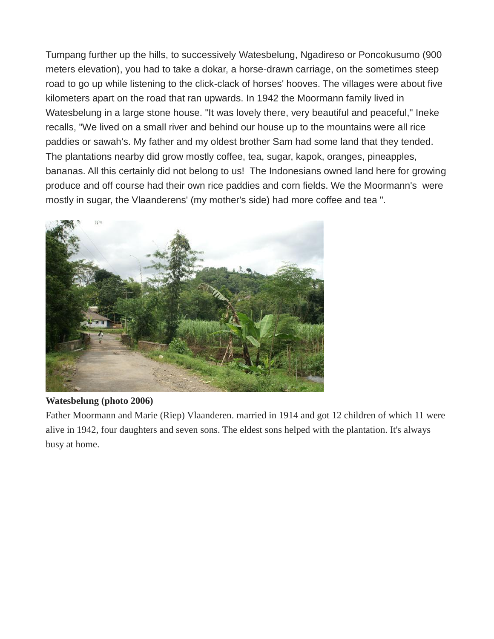Tumpang further up the hills, to successively Watesbelung, Ngadireso or Poncokusumo (900 meters elevation), you had to take a dokar, a horse-drawn carriage, on the sometimes steep road to go up while listening to the click-clack of horses' hooves. The villages were about five kilometers apart on the road that ran upwards. In 1942 the Moormann family lived in Watesbelung in a large stone house. "It was lovely there, very beautiful and peaceful," Ineke recalls, "We lived on a small river and behind our house up to the mountains were all rice paddies or sawah's. My father and my oldest brother Sam had some land that they tended. The plantations nearby did grow mostly coffee, tea, sugar, kapok, oranges, pineapples, bananas. All this certainly did not belong to us! The Indonesians owned land here for growing produce and off course had their own rice paddies and corn fields. We the Moormann's were mostly in sugar, the Vlaanderens' (my mother's side) had more coffee and tea ".



# **Watesbelung (photo 2006)**

Father Moormann and Marie (Riep) Vlaanderen. married in 1914 and got 12 children of which 11 were alive in 1942, four daughters and seven sons. The eldest sons helped with the plantation. It's always busy at home.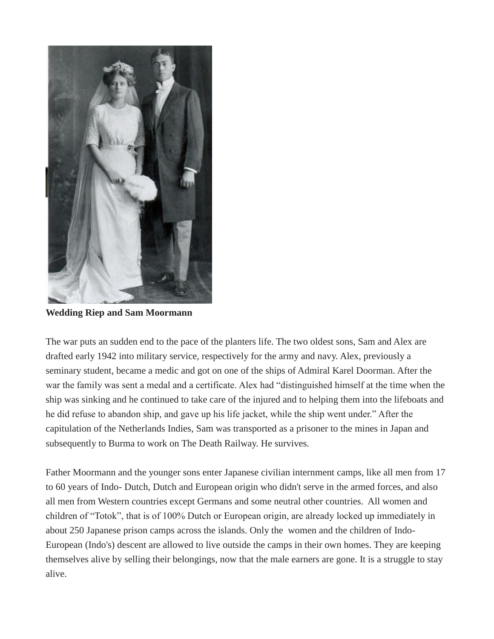

**Wedding Riep and Sam Moormann**

The war puts an sudden end to the pace of the planters life. The two oldest sons, Sam and Alex are drafted early 1942 into military service, respectively for the army and navy. Alex, previously a seminary student, became a medic and got on one of the ships of Admiral Karel Doorman. After the war the family was sent a medal and a certificate. Alex had "distinguished himself at the time when the ship was sinking and he continued to take care of the injured and to helping them into the lifeboats and he did refuse to abandon ship, and gave up his life jacket, while the ship went under." After the capitulation of the Netherlands Indies, Sam was transported as a prisoner to the mines in Japan and subsequently to Burma to work on The Death Railway. He survives.

Father Moormann and the younger sons enter Japanese civilian internment camps, like all men from 17 to 60 years of Indo- Dutch, Dutch and European origin who didn't serve in the armed forces, and also all men from Western countries except Germans and some neutral other countries. All women and children of "Totok", that is of 100% Dutch or European origin, are already locked up immediately in about 250 Japanese prison camps across the islands. Only the women and the children of Indo-European (Indo's) descent are allowed to live outside the camps in their own homes. They are keeping themselves alive by selling their belongings, now that the male earners are gone. It is a struggle to stay alive.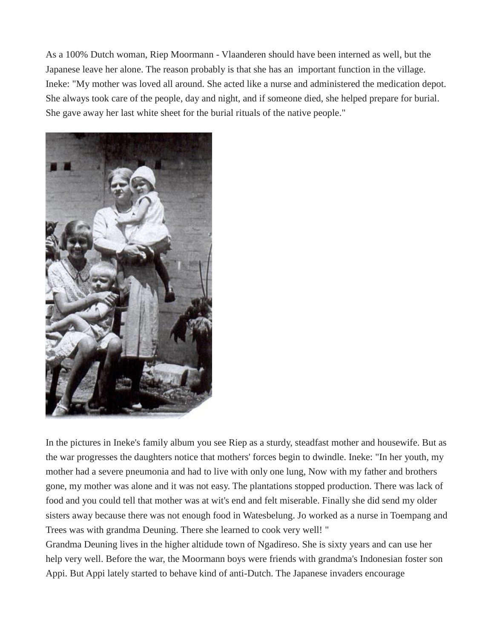As a 100% Dutch woman, Riep Moormann - Vlaanderen should have been interned as well, but the Japanese leave her alone. The reason probably is that she has an important function in the village. Ineke: "My mother was loved all around. She acted like a nurse and administered the medication depot. She always took care of the people, day and night, and if someone died, she helped prepare for burial. She gave away her last white sheet for the burial rituals of the native people."



In the pictures in Ineke's family album you see Riep as a sturdy, steadfast mother and housewife. But as the war progresses the daughters notice that mothers' forces begin to dwindle. Ineke: "In her youth, my mother had a severe pneumonia and had to live with only one lung, Now with my father and brothers gone, my mother was alone and it was not easy. The plantations stopped production. There was lack of food and you could tell that mother was at wit's end and felt miserable. Finally she did send my older sisters away because there was not enough food in Watesbelung. Jo worked as a nurse in Toempang and Trees was with grandma Deuning. There she learned to cook very well! "

Grandma Deuning lives in the higher altidude town of Ngadireso. She is sixty years and can use her help very well. Before the war, the Moormann boys were friends with grandma's Indonesian foster son Appi. But Appi lately started to behave kind of anti-Dutch. The Japanese invaders encourage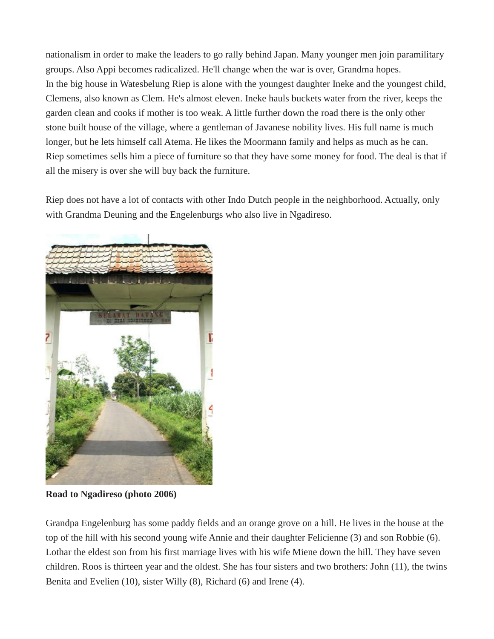nationalism in order to make the leaders to go rally behind Japan. Many younger men join paramilitary groups. Also Appi becomes radicalized. He'll change when the war is over, Grandma hopes. In the big house in Watesbelung Riep is alone with the youngest daughter Ineke and the youngest child, Clemens, also known as Clem. He's almost eleven. Ineke hauls buckets water from the river, keeps the garden clean and cooks if mother is too weak. A little further down the road there is the only other stone built house of the village, where a gentleman of Javanese nobility lives. His full name is much longer, but he lets himself call Atema. He likes the Moormann family and helps as much as he can. Riep sometimes sells him a piece of furniture so that they have some money for food. The deal is that if all the misery is over she will buy back the furniture.

Riep does not have a lot of contacts with other Indo Dutch people in the neighborhood. Actually, only with Grandma Deuning and the Engelenburgs who also live in Ngadireso.



**Road to Ngadireso (photo 2006)**

Grandpa Engelenburg has some paddy fields and an orange grove on a hill. He lives in the house at the top of the hill with his second young wife Annie and their daughter Felicienne (3) and son Robbie (6). Lothar the eldest son from his first marriage lives with his wife Miene down the hill. They have seven children. Roos is thirteen year and the oldest. She has four sisters and two brothers: John (11), the twins Benita and Evelien (10), sister Willy (8), Richard (6) and Irene (4).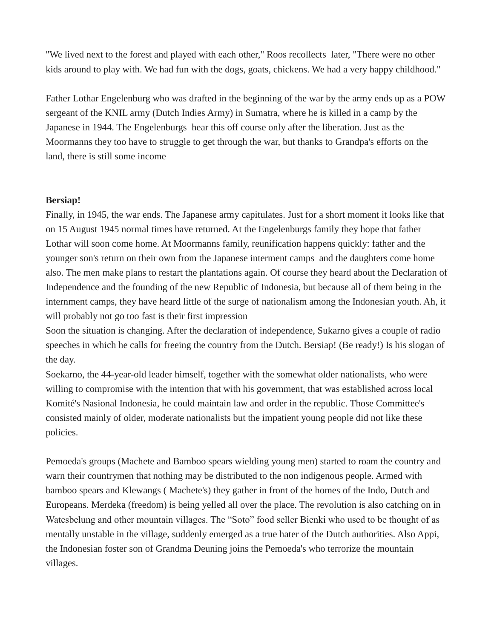"We lived next to the forest and played with each other," Roos recollects later, "There were no other kids around to play with. We had fun with the dogs, goats, chickens. We had a very happy childhood."

Father Lothar Engelenburg who was drafted in the beginning of the war by the army ends up as a POW sergeant of the KNIL army (Dutch Indies Army) in Sumatra, where he is killed in a camp by the Japanese in 1944. The Engelenburgs hear this off course only after the liberation. Just as the Moormanns they too have to struggle to get through the war, but thanks to Grandpa's efforts on the land, there is still some income

# **Bersiap!**

Finally, in 1945, the war ends. The Japanese army capitulates. Just for a short moment it looks like that on 15 August 1945 normal times have returned. At the Engelenburgs family they hope that father Lothar will soon come home. At Moormanns family, reunification happens quickly: father and the younger son's return on their own from the Japanese interment camps and the daughters come home also. The men make plans to restart the plantations again. Of course they heard about the Declaration of Independence and the founding of the new Republic of Indonesia, but because all of them being in the internment camps, they have heard little of the surge of nationalism among the Indonesian youth. Ah, it will probably not go too fast is their first impression

Soon the situation is changing. After the declaration of independence, Sukarno gives a couple of radio speeches in which he calls for freeing the country from the Dutch. Bersiap! (Be ready!) Is his slogan of the day.

Soekarno, the 44-year-old leader himself, together with the somewhat older nationalists, who were willing to compromise with the intention that with his government, that was established across local Komité's Nasional Indonesia, he could maintain law and order in the republic. Those Committee's consisted mainly of older, moderate nationalists but the impatient young people did not like these policies.

Pemoeda's groups (Machete and Bamboo spears wielding young men) started to roam the country and warn their countrymen that nothing may be distributed to the non indigenous people. Armed with bamboo spears and Klewangs ( Machete's) they gather in front of the homes of the Indo, Dutch and Europeans. Merdeka (freedom) is being yelled all over the place. The revolution is also catching on in Watesbelung and other mountain villages. The "Soto" food seller Bienki who used to be thought of as mentally unstable in the village, suddenly emerged as a true hater of the Dutch authorities. Also Appi, the Indonesian foster son of Grandma Deuning joins the Pemoeda's who terrorize the mountain villages.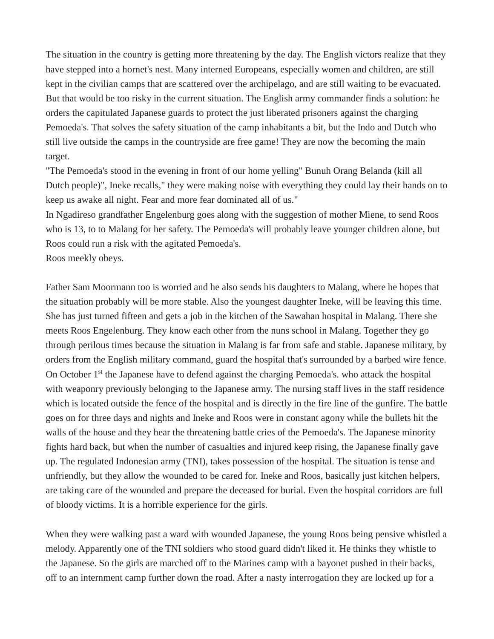The situation in the country is getting more threatening by the day. The English victors realize that they have stepped into a hornet's nest. Many interned Europeans, especially women and children, are still kept in the civilian camps that are scattered over the archipelago, and are still waiting to be evacuated. But that would be too risky in the current situation. The English army commander finds a solution: he orders the capitulated Japanese guards to protect the just liberated prisoners against the charging Pemoeda's. That solves the safety situation of the camp inhabitants a bit, but the Indo and Dutch who still live outside the camps in the countryside are free game! They are now the becoming the main target.

"The Pemoeda's stood in the evening in front of our home yelling" Bunuh Orang Belanda (kill all Dutch people)", Ineke recalls," they were making noise with everything they could lay their hands on to keep us awake all night. Fear and more fear dominated all of us."

In Ngadireso grandfather Engelenburg goes along with the suggestion of mother Miene, to send Roos who is 13, to to Malang for her safety. The Pemoeda's will probably leave younger children alone, but Roos could run a risk with the agitated Pemoeda's.

Roos meekly obeys.

Father Sam Moormann too is worried and he also sends his daughters to Malang, where he hopes that the situation probably will be more stable. Also the youngest daughter Ineke, will be leaving this time. She has just turned fifteen and gets a job in the kitchen of the Sawahan hospital in Malang. There she meets Roos Engelenburg. They know each other from the nuns school in Malang. Together they go through perilous times because the situation in Malang is far from safe and stable. Japanese military, by orders from the English military command, guard the hospital that's surrounded by a barbed wire fence. On October 1<sup>st</sup> the Japanese have to defend against the charging Pemoeda's. who attack the hospital with weaponry previously belonging to the Japanese army. The nursing staff lives in the staff residence which is located outside the fence of the hospital and is directly in the fire line of the gunfire. The battle goes on for three days and nights and Ineke and Roos were in constant agony while the bullets hit the walls of the house and they hear the threatening battle cries of the Pemoeda's. The Japanese minority fights hard back, but when the number of casualties and injured keep rising, the Japanese finally gave up. The regulated Indonesian army (TNI), takes possession of the hospital. The situation is tense and unfriendly, but they allow the wounded to be cared for. Ineke and Roos, basically just kitchen helpers, are taking care of the wounded and prepare the deceased for burial. Even the hospital corridors are full of bloody victims. It is a horrible experience for the girls.

When they were walking past a ward with wounded Japanese, the young Roos being pensive whistled a melody. Apparently one of the TNI soldiers who stood guard didn't liked it. He thinks they whistle to the Japanese. So the girls are marched off to the Marines camp with a bayonet pushed in their backs, off to an internment camp further down the road. After a nasty interrogation they are locked up for a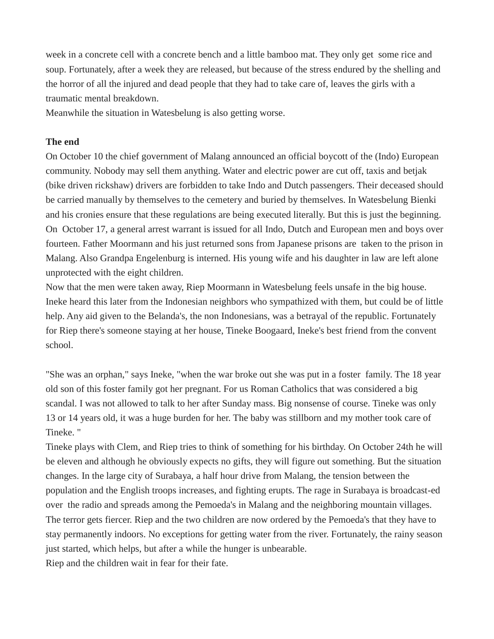week in a concrete cell with a concrete bench and a little bamboo mat. They only get some rice and soup. Fortunately, after a week they are released, but because of the stress endured by the shelling and the horror of all the injured and dead people that they had to take care of, leaves the girls with a traumatic mental breakdown.

Meanwhile the situation in Watesbelung is also getting worse.

# **The end**

On October 10 the chief government of Malang announced an official boycott of the (Indo) European community. Nobody may sell them anything. Water and electric power are cut off, taxis and betjak (bike driven rickshaw) drivers are forbidden to take Indo and Dutch passengers. Their deceased should be carried manually by themselves to the cemetery and buried by themselves. In Watesbelung Bienki and his cronies ensure that these regulations are being executed literally. But this is just the beginning. On October 17, a general arrest warrant is issued for all Indo, Dutch and European men and boys over fourteen. Father Moormann and his just returned sons from Japanese prisons are taken to the prison in Malang. Also Grandpa Engelenburg is interned. His young wife and his daughter in law are left alone unprotected with the eight children.

Now that the men were taken away, Riep Moormann in Watesbelung feels unsafe in the big house. Ineke heard this later from the Indonesian neighbors who sympathized with them, but could be of little help. Any aid given to the Belanda's, the non Indonesians, was a betrayal of the republic. Fortunately for Riep there's someone staying at her house, Tineke Boogaard, Ineke's best friend from the convent school.

"She was an orphan," says Ineke, "when the war broke out she was put in a foster family. The 18 year old son of this foster family got her pregnant. For us Roman Catholics that was considered a big scandal. I was not allowed to talk to her after Sunday mass. Big nonsense of course. Tineke was only 13 or 14 years old, it was a huge burden for her. The baby was stillborn and my mother took care of Tineke. "

Tineke plays with Clem, and Riep tries to think of something for his birthday. On October 24th he will be eleven and although he obviously expects no gifts, they will figure out something. But the situation changes. In the large city of Surabaya, a half hour drive from Malang, the tension between the population and the English troops increases, and fighting erupts. The rage in Surabaya is broadcast-ed over the radio and spreads among the Pemoeda's in Malang and the neighboring mountain villages. The terror gets fiercer. Riep and the two children are now ordered by the Pemoeda's that they have to stay permanently indoors. No exceptions for getting water from the river. Fortunately, the rainy season just started, which helps, but after a while the hunger is unbearable.

Riep and the children wait in fear for their fate.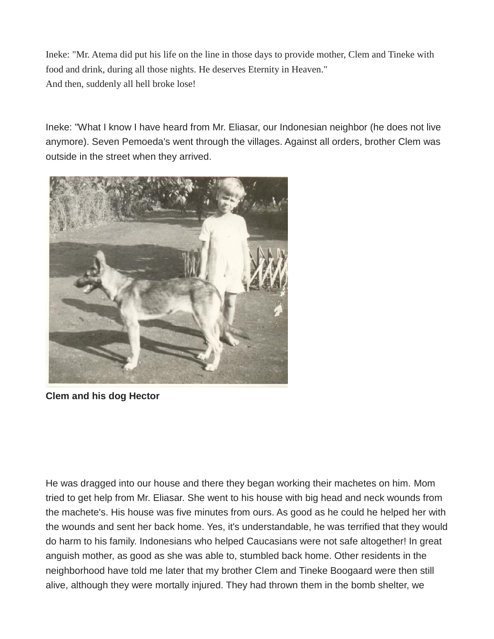Ineke: "Mr. Atema did put his life on the line in those days to provide mother, Clem and Tineke with food and drink, during all those nights. He deserves Eternity in Heaven." And then, suddenly all hell broke lose!

Ineke: "What I know I have heard from Mr. Eliasar, our Indonesian neighbor (he does not live anymore). Seven Pemoeda's went through the villages. Against all orders, brother Clem was outside in the street when they arrived.



**Clem and his dog Hector**

He was dragged into our house and there they began working their machetes on him. Mom tried to get help from Mr. Eliasar. She went to his house with big head and neck wounds from the machete's. His house was five minutes from ours. As good as he could he helped her with the wounds and sent her back home. Yes, it's understandable, he was terrified that they would do harm to his family. Indonesians who helped Caucasians were not safe altogether! In great anguish mother, as good as she was able to, stumbled back home. Other residents in the neighborhood have told me later that my brother Clem and Tineke Boogaard were then still alive, although they were mortally injured. They had thrown them in the bomb shelter, we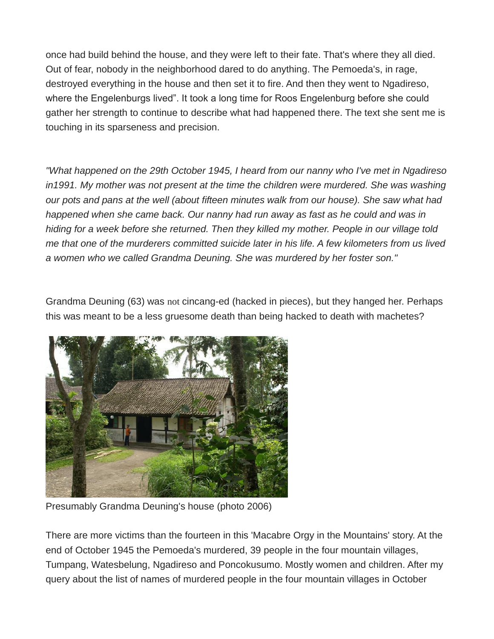once had build behind the house, and they were left to their fate. That's where they all died. Out of fear, nobody in the neighborhood dared to do anything. The Pemoeda's, in rage, destroyed everything in the house and then set it to fire. And then they went to Ngadireso, where the Engelenburgs lived". It took a long time for Roos Engelenburg before she could gather her strength to continue to describe what had happened there. The text she sent me is touching in its sparseness and precision.

*"What happened on the 29th October 1945, I heard from our nanny who I've met in Ngadireso in1991. My mother was not present at the time the children were murdered. She was washing our pots and pans at the well (about fifteen minutes walk from our house). She saw what had happened when she came back. Our nanny had run away as fast as he could and was in hiding for a week before she returned. Then they killed my mother. People in our village told me that one of the murderers committed suicide later in his life. A few kilometers from us lived a women who we called Grandma Deuning. She was murdered by her foster son."*

Grandma Deuning (63) was not cincang-ed (hacked in pieces), but they hanged her. Perhaps this was meant to be a less gruesome death than being hacked to death with machetes?



Presumably Grandma Deuning's house (photo 2006)

There are more victims than the fourteen in this 'Macabre Orgy in the Mountains' story. At the end of October 1945 the Pemoeda's murdered, 39 people in the four mountain villages, Tumpang, Watesbelung, Ngadireso and Poncokusumo. Mostly women and children. After my query about the list of names of murdered people in the four mountain villages in October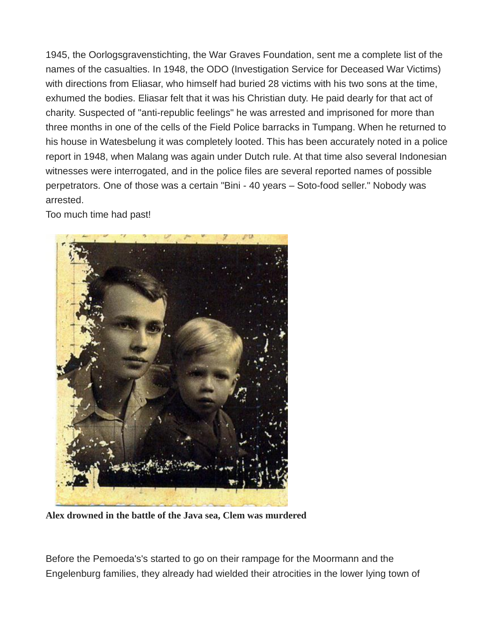1945, the Oorlogsgravenstichting, the War Graves Foundation, sent me a complete list of the names of the casualties. In 1948, the ODO (Investigation Service for Deceased War Victims) with directions from Eliasar, who himself had buried 28 victims with his two sons at the time, exhumed the bodies. Eliasar felt that it was his Christian duty. He paid dearly for that act of charity. Suspected of "anti-republic feelings" he was arrested and imprisoned for more than three months in one of the cells of the Field Police barracks in Tumpang. When he returned to his house in Watesbelung it was completely looted. This has been accurately noted in a police report in 1948, when Malang was again under Dutch rule. At that time also several Indonesian witnesses were interrogated, and in the police files are several reported names of possible perpetrators. One of those was a certain "Bini - 40 years – Soto-food seller." Nobody was arrested.

Too much time had past!



**Alex drowned in the battle of the Java sea, Clem was murdered**

Before the Pemoeda's's started to go on their rampage for the Moormann and the Engelenburg families, they already had wielded their atrocities in the lower lying town of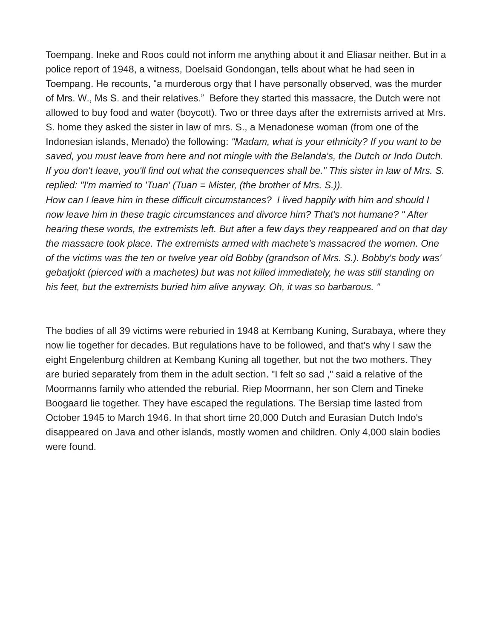Toempang. Ineke and Roos could not inform me anything about it and Eliasar neither. But in a police report of 1948, a witness, Doelsaid Gondongan, tells about what he had seen in Toempang. He recounts, "a murderous orgy that I have personally observed, was the murder of Mrs. W., Ms S. and their relatives." Before they started this massacre, the Dutch were not allowed to buy food and water (boycott). Two or three days after the extremists arrived at Mrs. S. home they asked the sister in law of mrs. S., a Menadonese woman (from one of the Indonesian islands, Menado) the following: *"Madam, what is your ethnicity? If you want to be saved, you must leave from here and not mingle with the Belanda's, the Dutch or Indo Dutch. If you don't leave, you'll find out what the consequences shall be." This sister in law of Mrs. S. replied: "I'm married to 'Tuan' (Tuan = Mister, (the brother of Mrs. S.)).*

*How can I leave him in these difficult circumstances? I lived happily with him and should I now leave him in these tragic circumstances and divorce him? That's not humane? " After hearing these words, the extremists left. But after a few days they reappeared and on that day the massacre took place. The extremists armed with machete's massacred the women. One of the victims was the ten or twelve year old Bobby (grandson of Mrs. S.). Bobby's body was' gebatjokt (pierced with a machetes) but was not killed immediately, he was still standing on his feet, but the extremists buried him alive anyway. Oh, it was so barbarous. "*

The bodies of all 39 victims were reburied in 1948 at Kembang Kuning, Surabaya, where they now lie together for decades. But regulations have to be followed, and that's why I saw the eight Engelenburg children at Kembang Kuning all together, but not the two mothers. They are buried separately from them in the adult section. "I felt so sad ," said a relative of the Moormanns family who attended the reburial. Riep Moormann, her son Clem and Tineke Boogaard lie together. They have escaped the regulations. The Bersiap time lasted from October 1945 to March 1946. In that short time 20,000 Dutch and Eurasian Dutch Indo's disappeared on Java and other islands, mostly women and children. Only 4,000 slain bodies were found.